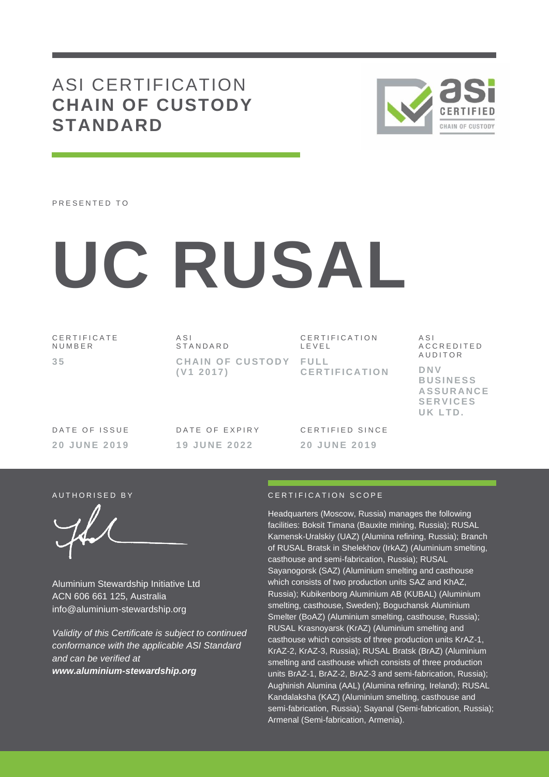# ASI CERTIFICATION **CHAIN OF CUSTODY STANDARD**



PRESENTED TO

# **UC RUSAL**

C E R T I F I C A T E N U M B E R **3 5**

A S I S T A N D A R D **CHAIN OF CUSTODY FULL ( V1 2 0 1 7 )**

C E R T I F I C A T I O N L E V E L **C E R T I F I C A T I O N** A S I A C C R E D I T E D **AUDITOR** 

**D N V B U S I N E S S A S S U R A N C E S E R V I C E S U K L T D .**

DATE OF ISSUE **2 0 J U N E 2019** DATE OF EXPIRY **1 9 J U N E 2022**

CERTIFIED SINCE **2 0 J U N E 2019**

Aluminium Stewardship Initiative Ltd ACN 606 661 125, Australia info@aluminium-stewardship.org

*Validity of this Certificate is subject to continued conformance with the applicable ASI Standard and can be verified at www.aluminium-stewardship.org*

### A U T H ORISED BY A LOCAL CERTIFICATION SCOPE

Headquarters (Moscow, Russia) manages the following facilities: Boksit Timana (Bauxite mining, Russia); RUSAL Kamensk-Uralskiy (UAZ) (Alumina refining, Russia); Branch of RUSAL Bratsk in Shelekhov (IrkAZ) (Aluminium smelting, casthouse and semi-fabrication, Russia); RUSAL Sayanogorsk (SAZ) (Aluminium smelting and casthouse which consists of two production units SAZ and KhAZ, Russia); Kubikenborg Aluminium AB (KUBAL) (Aluminium smelting, casthouse, Sweden); Boguchansk Aluminium Smelter (BoAZ) (Aluminium smelting, casthouse, Russia); RUSAL Krasnoyarsk (KrAZ) (Aluminium smelting and casthouse which consists of three production units KrAZ-1, KrAZ-2, KrAZ-3, Russia); RUSAL Bratsk (BrAZ) (Aluminium smelting and casthouse which consists of three production units BrAZ-1, BrAZ-2, BrAZ-3 and semi-fabrication, Russia); Aughinish Alumina (AAL) (Alumina refining, Ireland); RUSAL Kandalaksha (KAZ) (Aluminium smelting, casthouse and semi-fabrication, Russia); Sayanal (Semi-fabrication, Russia); Armenal (Semi-fabrication, Armenia).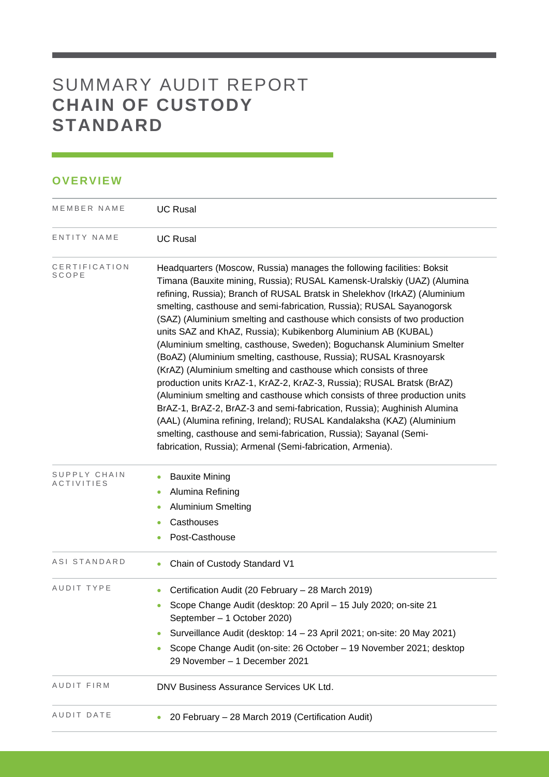# SUMMARY AUDIT REPORT **CHAIN OF CUSTODY STANDARD**

## **OVERVIEW**

| MEMBER NAME                | <b>UC Rusal</b>                                                                                                                                                                                                                                                                                                                                                                                                                                                                                                                                                                                                                                                                                                                                                                                                                                                                                                                                                                                                                                                                                                    |  |  |  |  |
|----------------------------|--------------------------------------------------------------------------------------------------------------------------------------------------------------------------------------------------------------------------------------------------------------------------------------------------------------------------------------------------------------------------------------------------------------------------------------------------------------------------------------------------------------------------------------------------------------------------------------------------------------------------------------------------------------------------------------------------------------------------------------------------------------------------------------------------------------------------------------------------------------------------------------------------------------------------------------------------------------------------------------------------------------------------------------------------------------------------------------------------------------------|--|--|--|--|
| ENTITY NAME                | <b>UC Rusal</b>                                                                                                                                                                                                                                                                                                                                                                                                                                                                                                                                                                                                                                                                                                                                                                                                                                                                                                                                                                                                                                                                                                    |  |  |  |  |
| CERTIFICATION<br>SCOPE     | Headquarters (Moscow, Russia) manages the following facilities: Boksit<br>Timana (Bauxite mining, Russia); RUSAL Kamensk-Uralskiy (UAZ) (Alumina<br>refining, Russia); Branch of RUSAL Bratsk in Shelekhov (IrkAZ) (Aluminium<br>smelting, casthouse and semi-fabrication, Russia); RUSAL Sayanogorsk<br>(SAZ) (Aluminium smelting and casthouse which consists of two production<br>units SAZ and KhAZ, Russia); Kubikenborg Aluminium AB (KUBAL)<br>(Aluminium smelting, casthouse, Sweden); Boguchansk Aluminium Smelter<br>(BoAZ) (Aluminium smelting, casthouse, Russia); RUSAL Krasnoyarsk<br>(KrAZ) (Aluminium smelting and casthouse which consists of three<br>production units KrAZ-1, KrAZ-2, KrAZ-3, Russia); RUSAL Bratsk (BrAZ)<br>(Aluminium smelting and casthouse which consists of three production units<br>BrAZ-1, BrAZ-2, BrAZ-3 and semi-fabrication, Russia); Aughinish Alumina<br>(AAL) (Alumina refining, Ireland); RUSAL Kandalaksha (KAZ) (Aluminium<br>smelting, casthouse and semi-fabrication, Russia); Sayanal (Semi-<br>fabrication, Russia); Armenal (Semi-fabrication, Armenia). |  |  |  |  |
| SUPPLY CHAIN<br>ACTIVITIES | <b>Bauxite Mining</b><br>٠<br>Alumina Refining<br><b>Aluminium Smelting</b><br>Casthouses<br>Post-Casthouse                                                                                                                                                                                                                                                                                                                                                                                                                                                                                                                                                                                                                                                                                                                                                                                                                                                                                                                                                                                                        |  |  |  |  |
| ASI STANDARD               | Chain of Custody Standard V1                                                                                                                                                                                                                                                                                                                                                                                                                                                                                                                                                                                                                                                                                                                                                                                                                                                                                                                                                                                                                                                                                       |  |  |  |  |
| AUDIT TYPE                 | Certification Audit (20 February - 28 March 2019)<br>Scope Change Audit (desktop: 20 April - 15 July 2020; on-site 21<br>۰<br>September - 1 October 2020)<br>Surveillance Audit (desktop: 14 - 23 April 2021; on-site: 20 May 2021)<br>Scope Change Audit (on-site: 26 October - 19 November 2021; desktop<br>29 November - 1 December 2021                                                                                                                                                                                                                                                                                                                                                                                                                                                                                                                                                                                                                                                                                                                                                                        |  |  |  |  |
| AUDIT FIRM                 | DNV Business Assurance Services UK Ltd.                                                                                                                                                                                                                                                                                                                                                                                                                                                                                                                                                                                                                                                                                                                                                                                                                                                                                                                                                                                                                                                                            |  |  |  |  |
| AUDIT DATE                 | 20 February - 28 March 2019 (Certification Audit)                                                                                                                                                                                                                                                                                                                                                                                                                                                                                                                                                                                                                                                                                                                                                                                                                                                                                                                                                                                                                                                                  |  |  |  |  |

<u> 1989 - Johann Barnett, martin santa da k</u>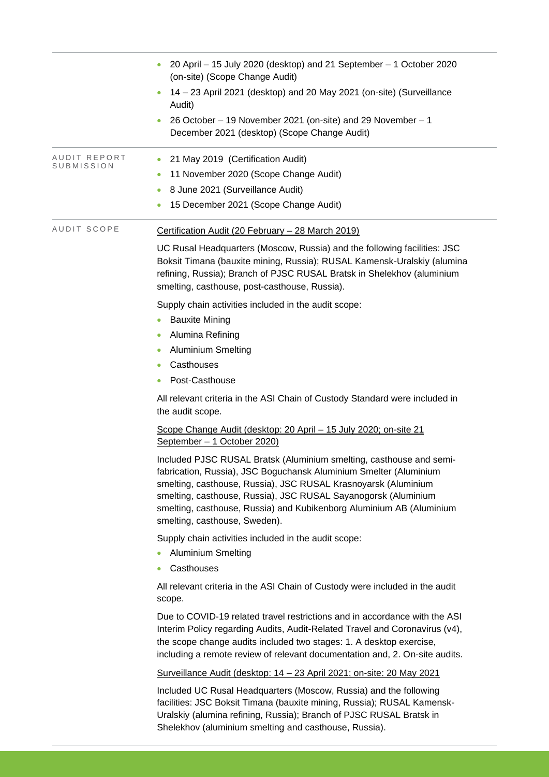|                            | 20 April - 15 July 2020 (desktop) and 21 September - 1 October 2020<br>(on-site) (Scope Change Audit)                                                                                                                                                                                                                                                                                 |  |  |  |  |
|----------------------------|---------------------------------------------------------------------------------------------------------------------------------------------------------------------------------------------------------------------------------------------------------------------------------------------------------------------------------------------------------------------------------------|--|--|--|--|
|                            | 14 - 23 April 2021 (desktop) and 20 May 2021 (on-site) (Surveillance<br>Audit)                                                                                                                                                                                                                                                                                                        |  |  |  |  |
|                            | 26 October - 19 November 2021 (on-site) and 29 November - 1<br>December 2021 (desktop) (Scope Change Audit)                                                                                                                                                                                                                                                                           |  |  |  |  |
| AUDIT REPORT<br>SUBMISSION | 21 May 2019 (Certification Audit)<br>۰<br>11 November 2020 (Scope Change Audit)                                                                                                                                                                                                                                                                                                       |  |  |  |  |
|                            | 8 June 2021 (Surveillance Audit)                                                                                                                                                                                                                                                                                                                                                      |  |  |  |  |
|                            | 15 December 2021 (Scope Change Audit)                                                                                                                                                                                                                                                                                                                                                 |  |  |  |  |
| AUDIT SCOPE                | Certification Audit (20 February - 28 March 2019)                                                                                                                                                                                                                                                                                                                                     |  |  |  |  |
|                            | UC Rusal Headquarters (Moscow, Russia) and the following facilities: JSC<br>Boksit Timana (bauxite mining, Russia); RUSAL Kamensk-Uralskiy (alumina<br>refining, Russia); Branch of PJSC RUSAL Bratsk in Shelekhov (aluminium<br>smelting, casthouse, post-casthouse, Russia).                                                                                                        |  |  |  |  |
|                            | Supply chain activities included in the audit scope:                                                                                                                                                                                                                                                                                                                                  |  |  |  |  |
|                            | <b>Bauxite Mining</b><br>$\bullet$                                                                                                                                                                                                                                                                                                                                                    |  |  |  |  |
|                            | Alumina Refining<br>۰                                                                                                                                                                                                                                                                                                                                                                 |  |  |  |  |
|                            | <b>Aluminium Smelting</b><br>$\bullet$                                                                                                                                                                                                                                                                                                                                                |  |  |  |  |
|                            | Casthouses<br>$\bullet$                                                                                                                                                                                                                                                                                                                                                               |  |  |  |  |
|                            | Post-Casthouse<br>$\bullet$                                                                                                                                                                                                                                                                                                                                                           |  |  |  |  |
|                            | All relevant criteria in the ASI Chain of Custody Standard were included in<br>the audit scope.                                                                                                                                                                                                                                                                                       |  |  |  |  |
|                            | Scope Change Audit (desktop: 20 April - 15 July 2020; on-site 21<br>September - 1 October 2020)                                                                                                                                                                                                                                                                                       |  |  |  |  |
|                            | Included PJSC RUSAL Bratsk (Aluminium smelting, casthouse and semi-<br>fabrication, Russia), JSC Boguchansk Aluminium Smelter (Aluminium<br>smelting, casthouse, Russia), JSC RUSAL Krasnoyarsk (Aluminium<br>smelting, casthouse, Russia), JSC RUSAL Sayanogorsk (Aluminium<br>smelting, casthouse, Russia) and Kubikenborg Aluminium AB (Aluminium<br>smelting, casthouse, Sweden). |  |  |  |  |
|                            | Supply chain activities included in the audit scope:<br><b>Aluminium Smelting</b>                                                                                                                                                                                                                                                                                                     |  |  |  |  |
|                            | Casthouses<br>۰                                                                                                                                                                                                                                                                                                                                                                       |  |  |  |  |
|                            | All relevant criteria in the ASI Chain of Custody were included in the audit<br>scope.                                                                                                                                                                                                                                                                                                |  |  |  |  |
|                            | Due to COVID-19 related travel restrictions and in accordance with the ASI<br>Interim Policy regarding Audits, Audit-Related Travel and Coronavirus (v4),<br>the scope change audits included two stages: 1. A desktop exercise,<br>including a remote review of relevant documentation and, 2. On-site audits.                                                                       |  |  |  |  |
|                            | Surveillance Audit (desktop: 14 - 23 April 2021; on-site: 20 May 2021                                                                                                                                                                                                                                                                                                                 |  |  |  |  |
|                            | Included UC Rusal Headquarters (Moscow, Russia) and the following<br>facilities: JSC Boksit Timana (bauxite mining, Russia); RUSAL Kamensk-<br>Uralskiy (alumina refining, Russia); Branch of PJSC RUSAL Bratsk in<br>Shelekhov (aluminium smelting and casthouse, Russia).                                                                                                           |  |  |  |  |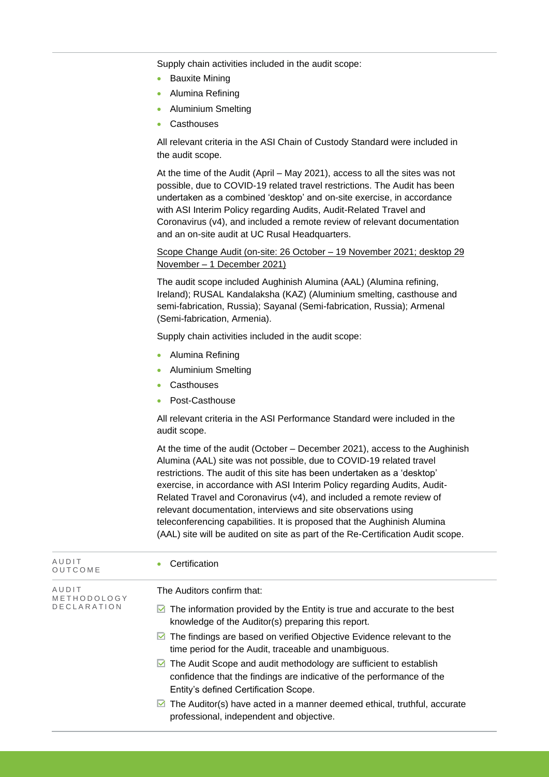Supply chain activities included in the audit scope:

- Bauxite Mining
- Alumina Refining
- Aluminium Smelting
- **Casthouses**

All relevant criteria in the ASI Chain of Custody Standard were included in the audit scope.

At the time of the Audit (April – May 2021), access to all the sites was not possible, due to COVID-19 related travel restrictions. The Audit has been undertaken as a combined 'desktop' and on-site exercise, in accordance with ASI Interim Policy regarding Audits, Audit-Related Travel and Coronavirus (v4), and included a remote review of relevant documentation and an on-site audit at UC Rusal Headquarters.

Scope Change Audit (on-site: 26 October – 19 November 2021; desktop 29 November – 1 December 2021)

The audit scope included Aughinish Alumina (AAL) (Alumina refining, Ireland); RUSAL Kandalaksha (KAZ) (Aluminium smelting, casthouse and semi-fabrication, Russia); Sayanal (Semi-fabrication, Russia); Armenal (Semi-fabrication, Armenia).

Supply chain activities included in the audit scope:

- Alumina Refining
- Aluminium Smelting
- Casthouses
- Post-Casthouse

All relevant criteria in the ASI Performance Standard were included in the audit scope.

At the time of the audit (October – December 2021), access to the Aughinish Alumina (AAL) site was not possible, due to COVID-19 related travel restrictions. The audit of this site has been undertaken as a 'desktop' exercise, in accordance with ASI Interim Policy regarding Audits, Audit-Related Travel and Coronavirus (v4), and included a remote review of relevant documentation, interviews and site observations using teleconferencing capabilities. It is proposed that the Aughinish Alumina (AAL) site will be audited on site as part of the Re-Certification Audit scope.

| AUDIT<br>OUTCOME                           | Certification                                                                                                                                                                            |
|--------------------------------------------|------------------------------------------------------------------------------------------------------------------------------------------------------------------------------------------|
| AUDIT<br>METHODOLOGY<br><b>DECLARATION</b> | The Auditors confirm that:                                                                                                                                                               |
|                                            | The information provided by the Entity is true and accurate to the best<br>knowledge of the Auditor(s) preparing this report.                                                            |
|                                            | The findings are based on verified Objective Evidence relevant to the<br>M<br>time period for the Audit, traceable and unambiguous.                                                      |
|                                            | The Audit Scope and audit methodology are sufficient to establish<br>M<br>confidence that the findings are indicative of the performance of the<br>Entity's defined Certification Scope. |
|                                            | The Auditor(s) have acted in a manner deemed ethical, truthful, accurate<br>M<br>professional, independent and objective.                                                                |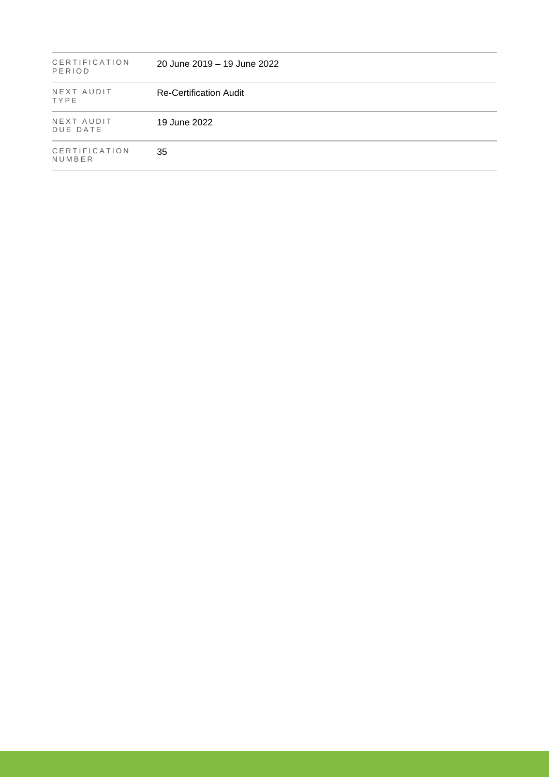| CERTIFICATION<br>PERIOD | 20 June 2019 – 19 June 2022   |
|-------------------------|-------------------------------|
| NEXT AUDIT<br>TYPE      | <b>Re-Certification Audit</b> |
| NEXT AUDIT<br>DUE DATE  | 19 June 2022                  |
| CERTIFICATION<br>NUMBER | 35                            |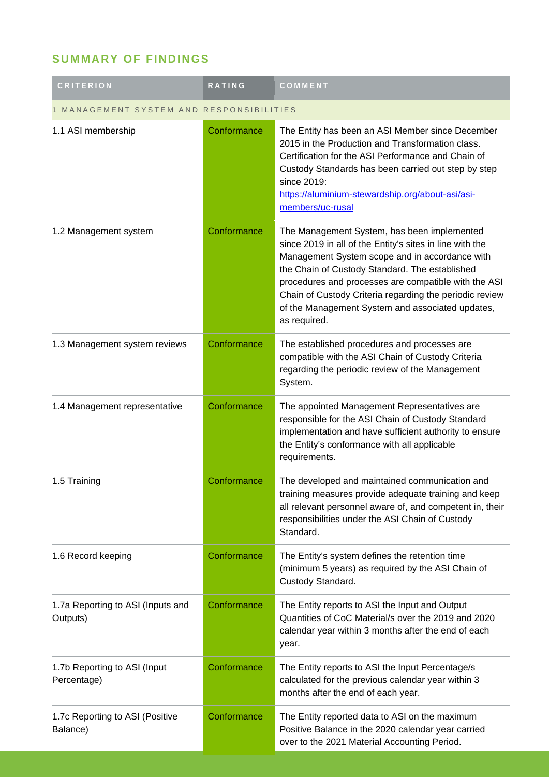# **SUMMARY OF FINDINGS**

| <b>CRITERION</b>                              | <b>RATING</b> | COMMENT                                                                                                                                                                                                                                                                                                                                                                                            |  |
|-----------------------------------------------|---------------|----------------------------------------------------------------------------------------------------------------------------------------------------------------------------------------------------------------------------------------------------------------------------------------------------------------------------------------------------------------------------------------------------|--|
| 1 MANAGEMENT SYSTEM AND RESPONSIBILITIES      |               |                                                                                                                                                                                                                                                                                                                                                                                                    |  |
| 1.1 ASI membership                            | Conformance   | The Entity has been an ASI Member since December<br>2015 in the Production and Transformation class.<br>Certification for the ASI Performance and Chain of<br>Custody Standards has been carried out step by step<br>since 2019:<br>https://aluminium-stewardship.org/about-asi/asi-<br>members/uc-rusal                                                                                           |  |
| 1.2 Management system                         | Conformance   | The Management System, has been implemented<br>since 2019 in all of the Entity's sites in line with the<br>Management System scope and in accordance with<br>the Chain of Custody Standard. The established<br>procedures and processes are compatible with the ASI<br>Chain of Custody Criteria regarding the periodic review<br>of the Management System and associated updates,<br>as required. |  |
| 1.3 Management system reviews                 | Conformance   | The established procedures and processes are<br>compatible with the ASI Chain of Custody Criteria<br>regarding the periodic review of the Management<br>System.                                                                                                                                                                                                                                    |  |
| 1.4 Management representative                 | Conformance   | The appointed Management Representatives are<br>responsible for the ASI Chain of Custody Standard<br>implementation and have sufficient authority to ensure<br>the Entity's conformance with all applicable<br>requirements.                                                                                                                                                                       |  |
| 1.5 Training                                  | Conformance   | The developed and maintained communication and<br>training measures provide adequate training and keep<br>all relevant personnel aware of, and competent in, their<br>responsibilities under the ASI Chain of Custody<br>Standard.                                                                                                                                                                 |  |
| 1.6 Record keeping                            | Conformance   | The Entity's system defines the retention time<br>(minimum 5 years) as required by the ASI Chain of<br>Custody Standard.                                                                                                                                                                                                                                                                           |  |
| 1.7a Reporting to ASI (Inputs and<br>Outputs) | Conformance   | The Entity reports to ASI the Input and Output<br>Quantities of CoC Material/s over the 2019 and 2020<br>calendar year within 3 months after the end of each<br>year.                                                                                                                                                                                                                              |  |
| 1.7b Reporting to ASI (Input<br>Percentage)   | Conformance   | The Entity reports to ASI the Input Percentage/s<br>calculated for the previous calendar year within 3<br>months after the end of each year.                                                                                                                                                                                                                                                       |  |
| 1.7c Reporting to ASI (Positive<br>Balance)   | Conformance   | The Entity reported data to ASI on the maximum<br>Positive Balance in the 2020 calendar year carried<br>over to the 2021 Material Accounting Period.                                                                                                                                                                                                                                               |  |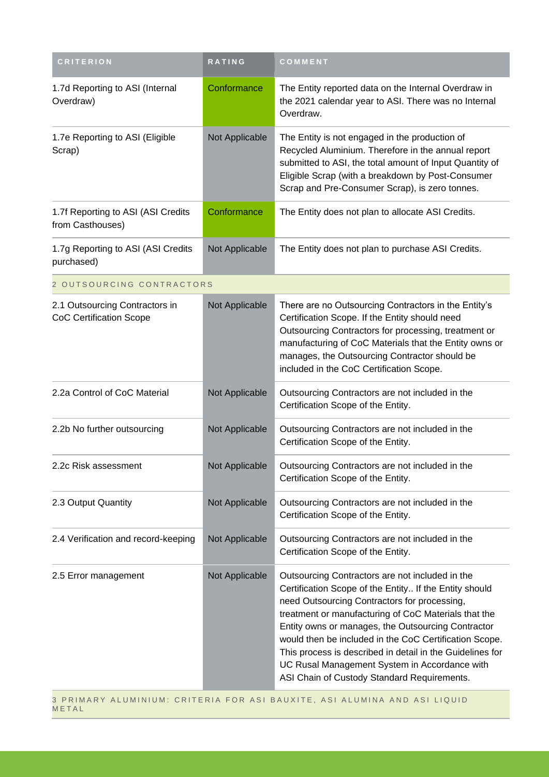| <b>CRITERION</b>                                                 | RATING         | COMMENT                                                                                                                                                                                                                                                                                                                                                                                                                                                                                        |
|------------------------------------------------------------------|----------------|------------------------------------------------------------------------------------------------------------------------------------------------------------------------------------------------------------------------------------------------------------------------------------------------------------------------------------------------------------------------------------------------------------------------------------------------------------------------------------------------|
| 1.7d Reporting to ASI (Internal<br>Overdraw)                     | Conformance    | The Entity reported data on the Internal Overdraw in<br>the 2021 calendar year to ASI. There was no Internal<br>Overdraw.                                                                                                                                                                                                                                                                                                                                                                      |
| 1.7e Reporting to ASI (Eligible<br>Scrap)                        | Not Applicable | The Entity is not engaged in the production of<br>Recycled Aluminium. Therefore in the annual report<br>submitted to ASI, the total amount of Input Quantity of<br>Eligible Scrap (with a breakdown by Post-Consumer<br>Scrap and Pre-Consumer Scrap), is zero tonnes.                                                                                                                                                                                                                         |
| 1.7f Reporting to ASI (ASI Credits<br>from Casthouses)           | Conformance    | The Entity does not plan to allocate ASI Credits.                                                                                                                                                                                                                                                                                                                                                                                                                                              |
| 1.7g Reporting to ASI (ASI Credits<br>purchased)                 | Not Applicable | The Entity does not plan to purchase ASI Credits.                                                                                                                                                                                                                                                                                                                                                                                                                                              |
| 2 OUTSOURCING CONTRACTORS                                        |                |                                                                                                                                                                                                                                                                                                                                                                                                                                                                                                |
| 2.1 Outsourcing Contractors in<br><b>CoC Certification Scope</b> | Not Applicable | There are no Outsourcing Contractors in the Entity's<br>Certification Scope. If the Entity should need<br>Outsourcing Contractors for processing, treatment or<br>manufacturing of CoC Materials that the Entity owns or<br>manages, the Outsourcing Contractor should be<br>included in the CoC Certification Scope.                                                                                                                                                                          |
| 2.2a Control of CoC Material                                     | Not Applicable | Outsourcing Contractors are not included in the<br>Certification Scope of the Entity.                                                                                                                                                                                                                                                                                                                                                                                                          |
| 2.2b No further outsourcing                                      | Not Applicable | Outsourcing Contractors are not included in the<br>Certification Scope of the Entity.                                                                                                                                                                                                                                                                                                                                                                                                          |
| 2.2c Risk assessment                                             | Not Applicable | Outsourcing Contractors are not included in the<br>Certification Scope of the Entity.                                                                                                                                                                                                                                                                                                                                                                                                          |
| 2.3 Output Quantity                                              | Not Applicable | Outsourcing Contractors are not included in the<br>Certification Scope of the Entity.                                                                                                                                                                                                                                                                                                                                                                                                          |
| 2.4 Verification and record-keeping                              | Not Applicable | Outsourcing Contractors are not included in the<br>Certification Scope of the Entity.                                                                                                                                                                                                                                                                                                                                                                                                          |
| 2.5 Error management                                             | Not Applicable | Outsourcing Contractors are not included in the<br>Certification Scope of the Entity If the Entity should<br>need Outsourcing Contractors for processing,<br>treatment or manufacturing of CoC Materials that the<br>Entity owns or manages, the Outsourcing Contractor<br>would then be included in the CoC Certification Scope.<br>This process is described in detail in the Guidelines for<br>UC Rusal Management System in Accordance with<br>ASI Chain of Custody Standard Requirements. |

**METAL**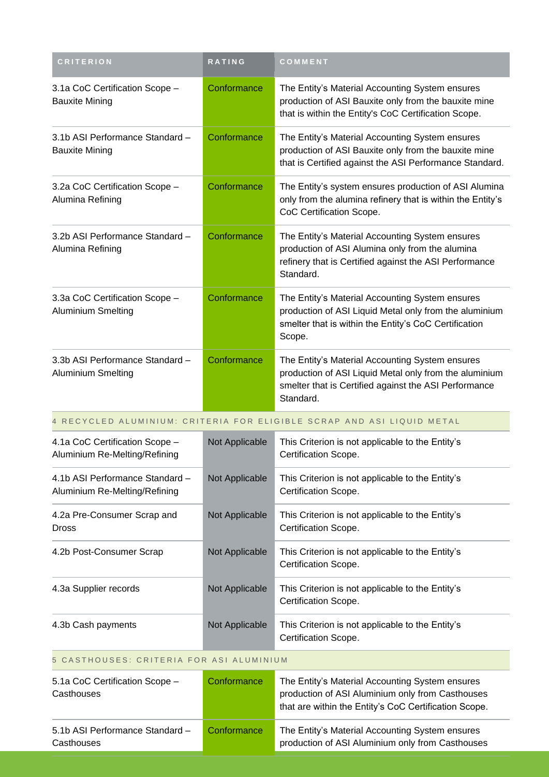| <b>CRITERION</b>                                                 | <b>RATING</b>  | COMMENT                                                                                                                                                                         |  |
|------------------------------------------------------------------|----------------|---------------------------------------------------------------------------------------------------------------------------------------------------------------------------------|--|
| 3.1a CoC Certification Scope -<br><b>Bauxite Mining</b>          | Conformance    | The Entity's Material Accounting System ensures<br>production of ASI Bauxite only from the bauxite mine<br>that is within the Entity's CoC Certification Scope.                 |  |
| 3.1b ASI Performance Standard -<br><b>Bauxite Mining</b>         | Conformance    | The Entity's Material Accounting System ensures<br>production of ASI Bauxite only from the bauxite mine<br>that is Certified against the ASI Performance Standard.              |  |
| 3.2a CoC Certification Scope -<br>Alumina Refining               | Conformance    | The Entity's system ensures production of ASI Alumina<br>only from the alumina refinery that is within the Entity's<br>CoC Certification Scope.                                 |  |
| 3.2b ASI Performance Standard -<br>Alumina Refining              | Conformance    | The Entity's Material Accounting System ensures<br>production of ASI Alumina only from the alumina<br>refinery that is Certified against the ASI Performance<br>Standard.       |  |
| 3.3a CoC Certification Scope -<br><b>Aluminium Smelting</b>      | Conformance    | The Entity's Material Accounting System ensures<br>production of ASI Liquid Metal only from the aluminium<br>smelter that is within the Entity's CoC Certification<br>Scope.    |  |
| 3.3b ASI Performance Standard -<br><b>Aluminium Smelting</b>     | Conformance    | The Entity's Material Accounting System ensures<br>production of ASI Liquid Metal only from the aluminium<br>smelter that is Certified against the ASI Performance<br>Standard. |  |
|                                                                  |                | 4 RECYCLED ALUMINIUM: CRITERIA FOR ELIGIBLE SCRAP AND ASI LIQUID METAL                                                                                                          |  |
| 4.1a CoC Certification Scope -<br>Aluminium Re-Melting/Refining  | Not Applicable | This Criterion is not applicable to the Entity's<br>Certification Scope.                                                                                                        |  |
| 4.1b ASI Performance Standard -<br>Aluminium Re-Melting/Refining | Not Applicable | This Criterion is not applicable to the Entity's<br>Certification Scope.                                                                                                        |  |
| 4.2a Pre-Consumer Scrap and<br><b>Dross</b>                      | Not Applicable | This Criterion is not applicable to the Entity's<br>Certification Scope.                                                                                                        |  |
| 4.2b Post-Consumer Scrap                                         | Not Applicable | This Criterion is not applicable to the Entity's<br>Certification Scope.                                                                                                        |  |
| 4.3a Supplier records                                            | Not Applicable | This Criterion is not applicable to the Entity's<br>Certification Scope.                                                                                                        |  |
| 4.3b Cash payments                                               | Not Applicable | This Criterion is not applicable to the Entity's<br>Certification Scope.                                                                                                        |  |
| CASTHOUSES: CRITERIA FOR ASI ALUMINIUM<br>5.                     |                |                                                                                                                                                                                 |  |
| 5.1a CoC Certification Scope -<br>Casthouses                     | Conformance    | The Entity's Material Accounting System ensures<br>production of ASI Aluminium only from Casthouses<br>that are within the Entity's CoC Certification Scope.                    |  |
| 5.1b ASI Performance Standard -                                  | Conformance    | The Entity's Material Accounting System ensures                                                                                                                                 |  |

production of ASI Aluminium only from Casthouses

**Casthouses**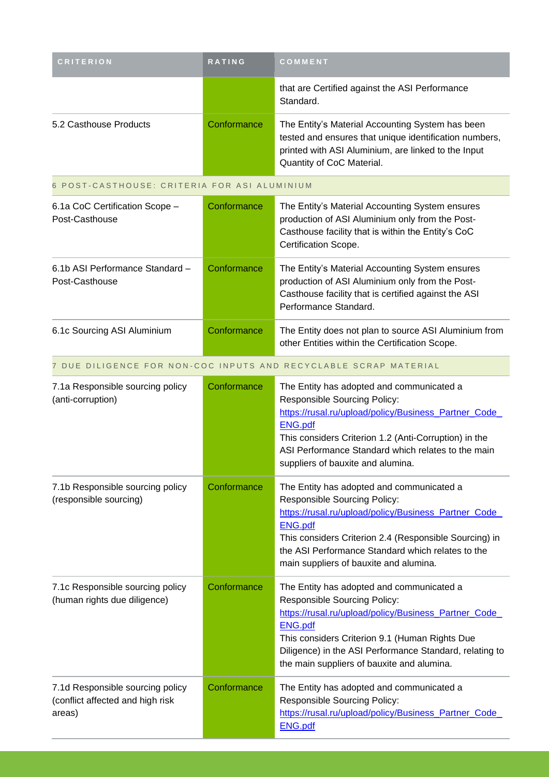| <b>CRITERION</b>                                      | <b>RATING</b> | COMMENT                                                                                                                                                                                                              |
|-------------------------------------------------------|---------------|----------------------------------------------------------------------------------------------------------------------------------------------------------------------------------------------------------------------|
|                                                       |               | that are Certified against the ASI Performance<br>Standard.                                                                                                                                                          |
| 5.2 Casthouse Products                                | Conformance   | The Entity's Material Accounting System has been<br>tested and ensures that unique identification numbers,<br>printed with ASI Aluminium, are linked to the Input<br>Quantity of CoC Material.                       |
| 6 POST-CASTHOUSE: CRITERIA FOR ASI ALUMINIUM          |               |                                                                                                                                                                                                                      |
| 6.1a CoC Certification Scope -<br>Post-Casthouse      | Conformance   | The Entity's Material Accounting System ensures<br>production of ASI Aluminium only from the Post-<br>Casthouse facility that is within the Entity's CoC<br>Certification Scope.                                     |
| 6.1b ASI Performance Standard -<br>Post-Casthouse     | Conformance   | The Entity's Material Accounting System ensures<br>production of ASI Aluminium only from the Post-<br>Casthouse facility that is certified against the ASI<br>Performance Standard.                                  |
| 6.1c Sourcing ASI Aluminium                           | Conformance   | The Entity does not plan to source ASI Aluminium from<br>other Entities within the Certification Scope.                                                                                                              |
|                                                       |               | 7 DUE DILIGENCE FOR NON-COC INPUTS AND RECYCLABLE SCRAP MATERIAL                                                                                                                                                     |
| 7.1a Responsible sourcing policy<br>(anti-corruption) | Conformance   | The Entity has adopted and communicated a<br><b>Responsible Sourcing Policy:</b><br>https://rusal.ru/upload/policy/Business_Partner_Code_<br><b>ENG.pdf</b><br>This considers Criterion 1.2 (Anti-Corruption) in the |

|                                                                                |             | ASI Performance Standard which relates to the main<br>suppliers of bauxite and alumina.                                                                                                                                                                                                                                |
|--------------------------------------------------------------------------------|-------------|------------------------------------------------------------------------------------------------------------------------------------------------------------------------------------------------------------------------------------------------------------------------------------------------------------------------|
| 7.1b Responsible sourcing policy<br>(responsible sourcing)                     | Conformance | The Entity has adopted and communicated a<br><b>Responsible Sourcing Policy:</b><br>https://rusal.ru/upload/policy/Business_Partner_Code_<br><b>ENG.pdf</b><br>This considers Criterion 2.4 (Responsible Sourcing) in<br>the ASI Performance Standard which relates to the<br>main suppliers of bauxite and alumina.   |
| 7.1c Responsible sourcing policy<br>(human rights due diligence)               | Conformance | The Entity has adopted and communicated a<br><b>Responsible Sourcing Policy:</b><br>https://rusal.ru/upload/policy/Business_Partner_Code_<br><b>ENG.pdf</b><br>This considers Criterion 9.1 (Human Rights Due<br>Diligence) in the ASI Performance Standard, relating to<br>the main suppliers of bauxite and alumina. |
| 7.1d Responsible sourcing policy<br>(conflict affected and high risk<br>areas) | Conformance | The Entity has adopted and communicated a<br><b>Responsible Sourcing Policy:</b><br>https://rusal.ru/upload/policy/Business Partner Code<br><b>ENG.pdf</b>                                                                                                                                                             |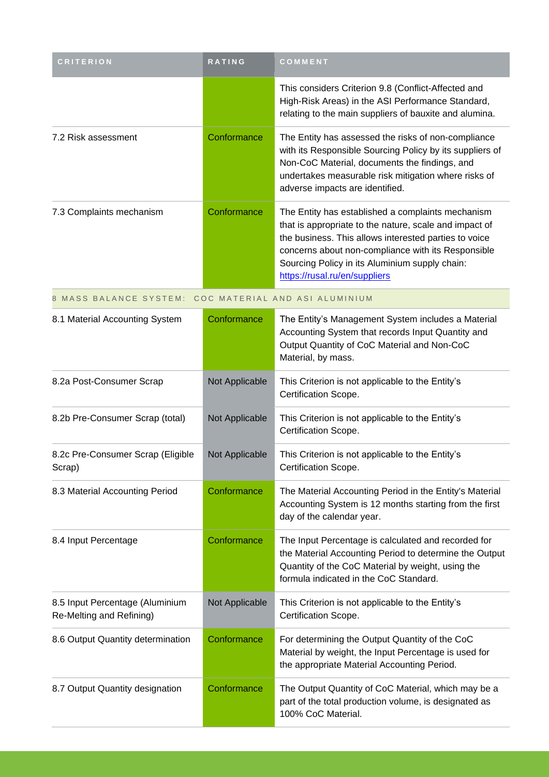| <b>CRITERION</b>                                            | RATING         | COMMENT                                                                                                                                                                                                                                                                                                       |
|-------------------------------------------------------------|----------------|---------------------------------------------------------------------------------------------------------------------------------------------------------------------------------------------------------------------------------------------------------------------------------------------------------------|
|                                                             |                | This considers Criterion 9.8 (Conflict-Affected and<br>High-Risk Areas) in the ASI Performance Standard,<br>relating to the main suppliers of bauxite and alumina.                                                                                                                                            |
| 7.2 Risk assessment                                         | Conformance    | The Entity has assessed the risks of non-compliance<br>with its Responsible Sourcing Policy by its suppliers of<br>Non-CoC Material, documents the findings, and<br>undertakes measurable risk mitigation where risks of<br>adverse impacts are identified.                                                   |
| 7.3 Complaints mechanism                                    | Conformance    | The Entity has established a complaints mechanism<br>that is appropriate to the nature, scale and impact of<br>the business. This allows interested parties to voice<br>concerns about non-compliance with its Responsible<br>Sourcing Policy in its Aluminium supply chain:<br>https://rusal.ru/en/suppliers |
| 8 MASS BALANCE SYSTEM: COC MATERIAL AND ASI ALUMINIUM       |                |                                                                                                                                                                                                                                                                                                               |
| 8.1 Material Accounting System                              | Conformance    | The Entity's Management System includes a Material<br>Accounting System that records Input Quantity and<br>Output Quantity of CoC Material and Non-CoC<br>Material, by mass.                                                                                                                                  |
| 8.2a Post-Consumer Scrap                                    | Not Applicable | This Criterion is not applicable to the Entity's<br>Certification Scope.                                                                                                                                                                                                                                      |
| 8.2b Pre-Consumer Scrap (total)                             | Not Applicable | This Criterion is not applicable to the Entity's<br>Certification Scope.                                                                                                                                                                                                                                      |
| 8.2c Pre-Consumer Scrap (Eligible<br>Scrap)                 | Not Applicable | This Criterion is not applicable to the Entity's<br>Certification Scope.                                                                                                                                                                                                                                      |
| 8.3 Material Accounting Period                              | Conformance    | The Material Accounting Period in the Entity's Material<br>Accounting System is 12 months starting from the first<br>day of the calendar year.                                                                                                                                                                |
| 8.4 Input Percentage                                        | Conformance    | The Input Percentage is calculated and recorded for<br>the Material Accounting Period to determine the Output<br>Quantity of the CoC Material by weight, using the<br>formula indicated in the CoC Standard.                                                                                                  |
| 8.5 Input Percentage (Aluminium<br>Re-Melting and Refining) | Not Applicable | This Criterion is not applicable to the Entity's<br>Certification Scope.                                                                                                                                                                                                                                      |
| 8.6 Output Quantity determination                           | Conformance    | For determining the Output Quantity of the CoC<br>Material by weight, the Input Percentage is used for<br>the appropriate Material Accounting Period.                                                                                                                                                         |
| 8.7 Output Quantity designation                             | Conformance    | The Output Quantity of CoC Material, which may be a<br>part of the total production volume, is designated as<br>100% CoC Material.                                                                                                                                                                            |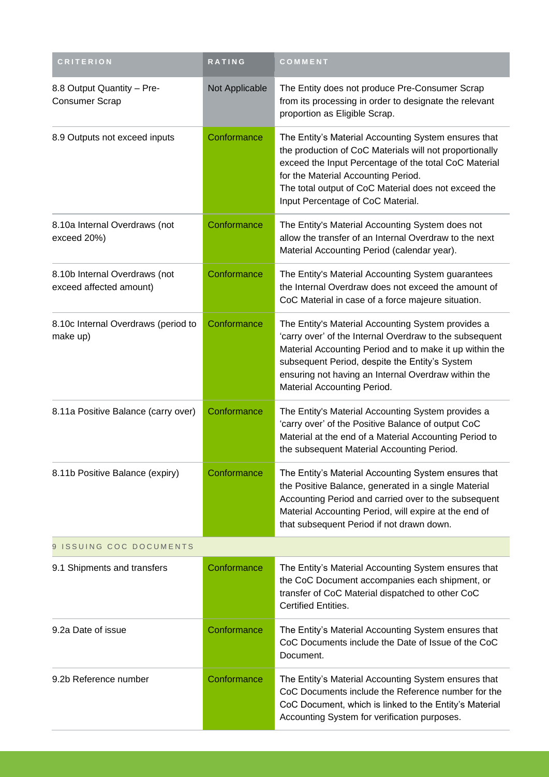| <b>CRITERION</b>                                         | <b>RATING</b>  | COMMENT                                                                                                                                                                                                                                                                                                          |  |
|----------------------------------------------------------|----------------|------------------------------------------------------------------------------------------------------------------------------------------------------------------------------------------------------------------------------------------------------------------------------------------------------------------|--|
| 8.8 Output Quantity - Pre-<br><b>Consumer Scrap</b>      | Not Applicable | The Entity does not produce Pre-Consumer Scrap<br>from its processing in order to designate the relevant<br>proportion as Eligible Scrap.                                                                                                                                                                        |  |
| 8.9 Outputs not exceed inputs                            | Conformance    | The Entity's Material Accounting System ensures that<br>the production of CoC Materials will not proportionally<br>exceed the Input Percentage of the total CoC Material<br>for the Material Accounting Period.<br>The total output of CoC Material does not exceed the<br>Input Percentage of CoC Material.     |  |
| 8.10a Internal Overdraws (not<br>exceed 20%)             | Conformance    | The Entity's Material Accounting System does not<br>allow the transfer of an Internal Overdraw to the next<br>Material Accounting Period (calendar year).                                                                                                                                                        |  |
| 8.10b Internal Overdraws (not<br>exceed affected amount) | Conformance    | The Entity's Material Accounting System guarantees<br>the Internal Overdraw does not exceed the amount of<br>CoC Material in case of a force majeure situation.                                                                                                                                                  |  |
| 8.10c Internal Overdraws (period to<br>make up)          | Conformance    | The Entity's Material Accounting System provides a<br>'carry over' of the Internal Overdraw to the subsequent<br>Material Accounting Period and to make it up within the<br>subsequent Period, despite the Entity's System<br>ensuring not having an Internal Overdraw within the<br>Material Accounting Period. |  |
| 8.11a Positive Balance (carry over)                      | Conformance    | The Entity's Material Accounting System provides a<br>'carry over' of the Positive Balance of output CoC<br>Material at the end of a Material Accounting Period to<br>the subsequent Material Accounting Period.                                                                                                 |  |
| 8.11b Positive Balance (expiry)                          | Conformance    | The Entity's Material Accounting System ensures that<br>the Positive Balance, generated in a single Material<br>Accounting Period and carried over to the subsequent<br>Material Accounting Period, will expire at the end of<br>that subsequent Period if not drawn down.                                       |  |
| 9 ISSUING COC DOCUMENTS                                  |                |                                                                                                                                                                                                                                                                                                                  |  |
| 9.1 Shipments and transfers                              | Conformance    | The Entity's Material Accounting System ensures that<br>the CoC Document accompanies each shipment, or<br>transfer of CoC Material dispatched to other CoC<br>Certified Entities.                                                                                                                                |  |
| 9.2a Date of issue                                       | Conformance    | The Entity's Material Accounting System ensures that<br>CoC Documents include the Date of Issue of the CoC<br>Document.                                                                                                                                                                                          |  |
| 9.2b Reference number                                    | Conformance    | The Entity's Material Accounting System ensures that<br>CoC Documents include the Reference number for the<br>CoC Document, which is linked to the Entity's Material<br>Accounting System for verification purposes.                                                                                             |  |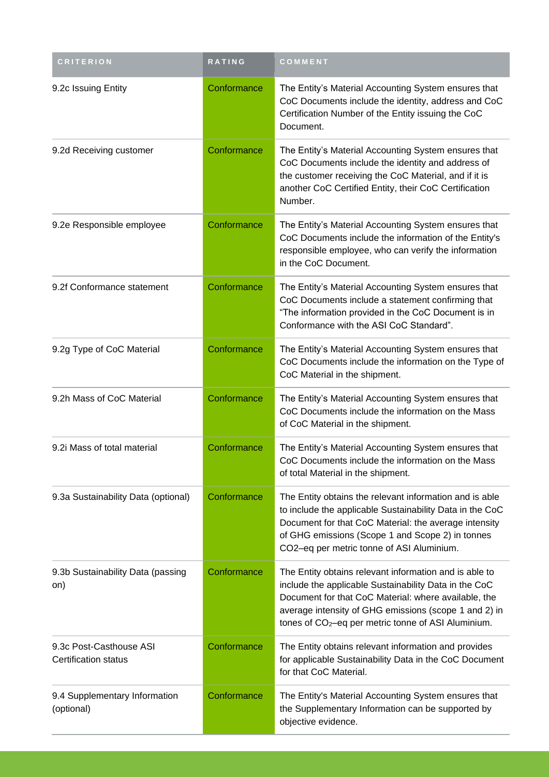| <b>CRITERION</b>                                | RATING      | COMMENT                                                                                                                                                                                                                                                                                             |
|-------------------------------------------------|-------------|-----------------------------------------------------------------------------------------------------------------------------------------------------------------------------------------------------------------------------------------------------------------------------------------------------|
| 9.2c Issuing Entity                             | Conformance | The Entity's Material Accounting System ensures that<br>CoC Documents include the identity, address and CoC<br>Certification Number of the Entity issuing the CoC<br>Document.                                                                                                                      |
| 9.2d Receiving customer                         | Conformance | The Entity's Material Accounting System ensures that<br>CoC Documents include the identity and address of<br>the customer receiving the CoC Material, and if it is<br>another CoC Certified Entity, their CoC Certification<br>Number.                                                              |
| 9.2e Responsible employee                       | Conformance | The Entity's Material Accounting System ensures that<br>CoC Documents include the information of the Entity's<br>responsible employee, who can verify the information<br>in the CoC Document.                                                                                                       |
| 9.2f Conformance statement                      | Conformance | The Entity's Material Accounting System ensures that<br>CoC Documents include a statement confirming that<br>"The information provided in the CoC Document is in<br>Conformance with the ASI CoC Standard".                                                                                         |
| 9.2g Type of CoC Material                       | Conformance | The Entity's Material Accounting System ensures that<br>CoC Documents include the information on the Type of<br>CoC Material in the shipment.                                                                                                                                                       |
| 9.2h Mass of CoC Material                       | Conformance | The Entity's Material Accounting System ensures that<br>CoC Documents include the information on the Mass<br>of CoC Material in the shipment.                                                                                                                                                       |
| 9.2i Mass of total material                     | Conformance | The Entity's Material Accounting System ensures that<br>CoC Documents include the information on the Mass<br>of total Material in the shipment.                                                                                                                                                     |
| 9.3a Sustainability Data (optional)             | Conformance | The Entity obtains the relevant information and is able<br>to include the applicable Sustainability Data in the CoC<br>Document for that CoC Material: the average intensity<br>of GHG emissions (Scope 1 and Scope 2) in tonnes<br>CO2-eq per metric tonne of ASI Aluminium.                       |
| 9.3b Sustainability Data (passing<br>on)        | Conformance | The Entity obtains relevant information and is able to<br>include the applicable Sustainability Data in the CoC<br>Document for that CoC Material: where available, the<br>average intensity of GHG emissions (scope 1 and 2) in<br>tones of CO <sub>2</sub> -eq per metric tonne of ASI Aluminium. |
| 9.3c Post-Casthouse ASI<br>Certification status | Conformance | The Entity obtains relevant information and provides<br>for applicable Sustainability Data in the CoC Document<br>for that CoC Material.                                                                                                                                                            |
| 9.4 Supplementary Information<br>(optional)     | Conformance | The Entity's Material Accounting System ensures that<br>the Supplementary Information can be supported by<br>objective evidence.                                                                                                                                                                    |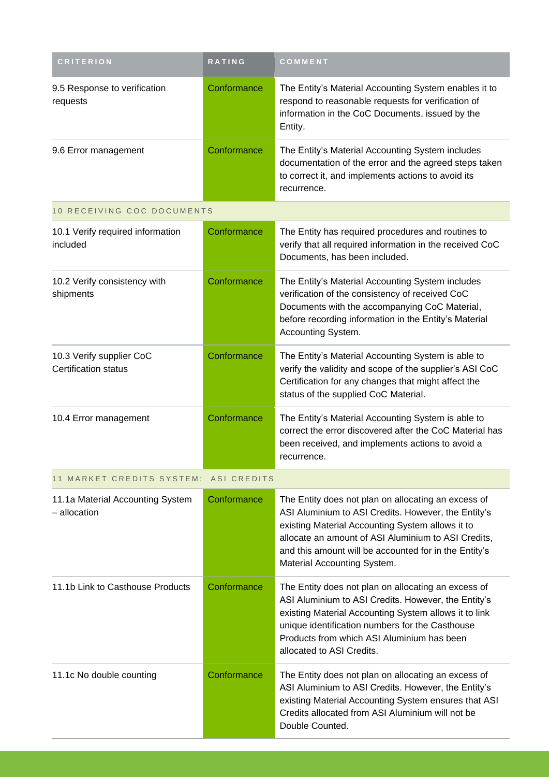| <b>CRITERION</b>                                        | <b>RATING</b> | COMMENT                                                                                                                                                                                                                                                                                                       |
|---------------------------------------------------------|---------------|---------------------------------------------------------------------------------------------------------------------------------------------------------------------------------------------------------------------------------------------------------------------------------------------------------------|
| 9.5 Response to verification<br>requests                | Conformance   | The Entity's Material Accounting System enables it to<br>respond to reasonable requests for verification of<br>information in the CoC Documents, issued by the<br>Entity.                                                                                                                                     |
| 9.6 Error management                                    | Conformance   | The Entity's Material Accounting System includes<br>documentation of the error and the agreed steps taken<br>to correct it, and implements actions to avoid its<br>recurrence.                                                                                                                                |
| 10 RECEIVING COC DOCUMENTS                              |               |                                                                                                                                                                                                                                                                                                               |
| 10.1 Verify required information<br>included            | Conformance   | The Entity has required procedures and routines to<br>verify that all required information in the received CoC<br>Documents, has been included.                                                                                                                                                               |
| 10.2 Verify consistency with<br>shipments               | Conformance   | The Entity's Material Accounting System includes<br>verification of the consistency of received CoC<br>Documents with the accompanying CoC Material,<br>before recording information in the Entity's Material<br>Accounting System.                                                                           |
| 10.3 Verify supplier CoC<br><b>Certification status</b> | Conformance   | The Entity's Material Accounting System is able to<br>verify the validity and scope of the supplier's ASI CoC<br>Certification for any changes that might affect the<br>status of the supplied CoC Material.                                                                                                  |
| 10.4 Error management                                   | Conformance   | The Entity's Material Accounting System is able to<br>correct the error discovered after the CoC Material has<br>been received, and implements actions to avoid a<br>recurrence.                                                                                                                              |
| 11 MARKET CREDITS SYSTEM:                               | ASI CREDITS   |                                                                                                                                                                                                                                                                                                               |
| 11.1a Material Accounting System<br>- allocation        | Conformance   | The Entity does not plan on allocating an excess of<br>ASI Aluminium to ASI Credits. However, the Entity's<br>existing Material Accounting System allows it to<br>allocate an amount of ASI Aluminium to ASI Credits,<br>and this amount will be accounted for in the Entity's<br>Material Accounting System. |
| 11.1b Link to Casthouse Products                        | Conformance   | The Entity does not plan on allocating an excess of<br>ASI Aluminium to ASI Credits. However, the Entity's<br>existing Material Accounting System allows it to link<br>unique identification numbers for the Casthouse<br>Products from which ASI Aluminium has been<br>allocated to ASI Credits.             |
| 11.1c No double counting                                | Conformance   | The Entity does not plan on allocating an excess of<br>ASI Aluminium to ASI Credits. However, the Entity's<br>existing Material Accounting System ensures that ASI<br>Credits allocated from ASI Aluminium will not be<br>Double Counted.                                                                     |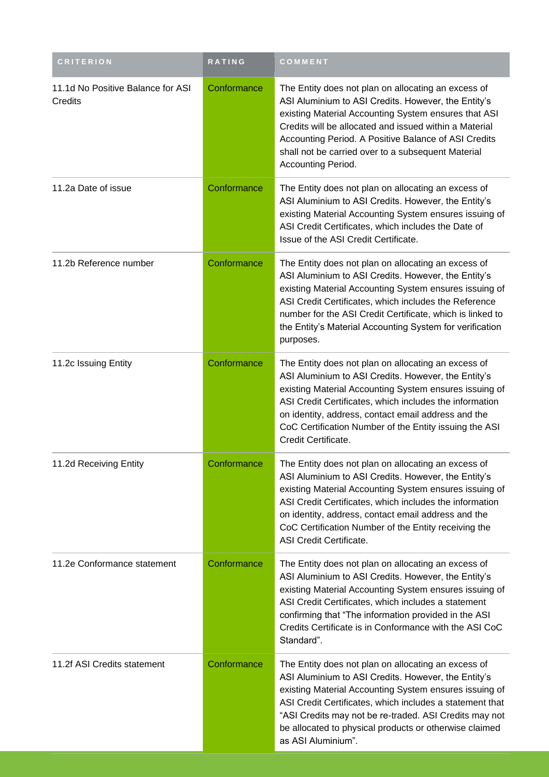| <b>CRITERION</b>                             | <b>RATING</b> | COMMENT                                                                                                                                                                                                                                                                                                                                                                    |
|----------------------------------------------|---------------|----------------------------------------------------------------------------------------------------------------------------------------------------------------------------------------------------------------------------------------------------------------------------------------------------------------------------------------------------------------------------|
| 11.1d No Positive Balance for ASI<br>Credits | Conformance   | The Entity does not plan on allocating an excess of<br>ASI Aluminium to ASI Credits. However, the Entity's<br>existing Material Accounting System ensures that ASI<br>Credits will be allocated and issued within a Material<br>Accounting Period. A Positive Balance of ASI Credits<br>shall not be carried over to a subsequent Material<br>Accounting Period.           |
| 11.2a Date of issue                          | Conformance   | The Entity does not plan on allocating an excess of<br>ASI Aluminium to ASI Credits. However, the Entity's<br>existing Material Accounting System ensures issuing of<br>ASI Credit Certificates, which includes the Date of<br>Issue of the ASI Credit Certificate.                                                                                                        |
| 11.2b Reference number                       | Conformance   | The Entity does not plan on allocating an excess of<br>ASI Aluminium to ASI Credits. However, the Entity's<br>existing Material Accounting System ensures issuing of<br>ASI Credit Certificates, which includes the Reference<br>number for the ASI Credit Certificate, which is linked to<br>the Entity's Material Accounting System for verification<br>purposes.        |
| 11.2c Issuing Entity                         | Conformance   | The Entity does not plan on allocating an excess of<br>ASI Aluminium to ASI Credits. However, the Entity's<br>existing Material Accounting System ensures issuing of<br>ASI Credit Certificates, which includes the information<br>on identity, address, contact email address and the<br>CoC Certification Number of the Entity issuing the ASI<br>Credit Certificate.    |
| 11.2d Receiving Entity                       | Conformance   | The Entity does not plan on allocating an excess of<br>ASI Aluminium to ASI Credits. However, the Entity's<br>existing Material Accounting System ensures issuing of<br>ASI Credit Certificates, which includes the information<br>on identity, address, contact email address and the<br>CoC Certification Number of the Entity receiving the<br>ASI Credit Certificate.  |
| 11.2e Conformance statement                  | Conformance   | The Entity does not plan on allocating an excess of<br>ASI Aluminium to ASI Credits. However, the Entity's<br>existing Material Accounting System ensures issuing of<br>ASI Credit Certificates, which includes a statement<br>confirming that "The information provided in the ASI<br>Credits Certificate is in Conformance with the ASI CoC<br>Standard".                |
| 11.2f ASI Credits statement                  | Conformance   | The Entity does not plan on allocating an excess of<br>ASI Aluminium to ASI Credits. However, the Entity's<br>existing Material Accounting System ensures issuing of<br>ASI Credit Certificates, which includes a statement that<br>"ASI Credits may not be re-traded. ASI Credits may not<br>be allocated to physical products or otherwise claimed<br>as ASI Aluminium". |